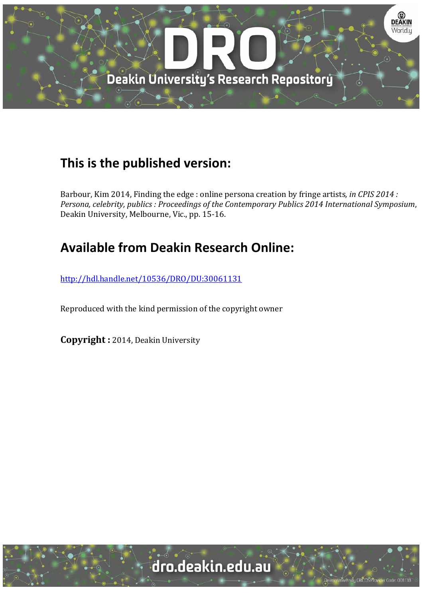

## **This is the published version:**

Barbour, Kim 2014, Finding the edge : online persona creation by fringe artists, *in CPIS 2014 : Persona, celebrity, publics : Proceedings of the Contemporary Publics 2014 International Symposium*, Deakin University, Melbourne, Vic., pp. 15-16.

## **Available from Deakin Research Online:**

http://hdl.handle.net/10536/DRO/DU:30061131

Reproduced with the kind permission of the copyright owner

**Copyright** : 2014, Deakin University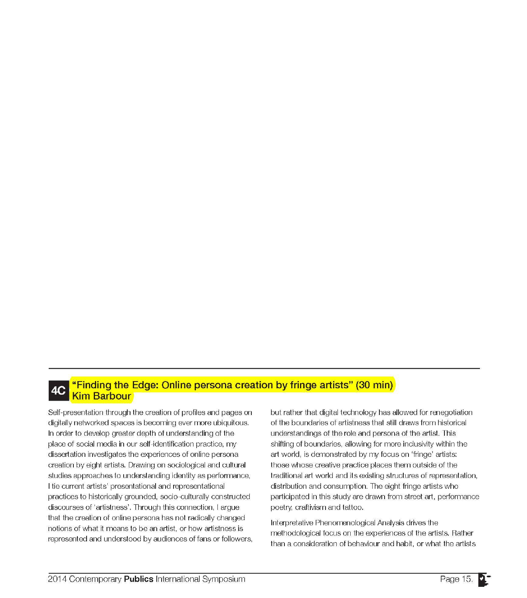## **AC "Finding the Edge: Online persona creation by fringe artists" (30 min) <sup>4C</sup>** Kim Barbour

Self-presentation through the creation of profiles and pages on digitally networked spaces is becoming ever more ubiquitous. In order to develop greater depth of understanding of the place of social media in our self-identification practice, my dissertation investigates the experiences of online persona creation by eight artists. Drawing on sociological and cultural studies approaches to understanding identity as performance, I tie current artists' presentational and representational practices to historically grounded, socio-culturally constructed discourses of 'artistness'. Through this connection, I argue that the creation of online persona has not radically changed notions of what it means to be an artist, or how artistness is represented and understood by audiences of fans or followers, but rather that digital technology has allowed for renegotiation of the boundaries of artistness that still draws from historical understandings of the role and persona of the artist. This shifting of boundaries, allowing for more inclusivity within the art world, is demonstrated by my focus on 'fringe' artists: those whose creative practice places them outside of the traditional art world and its existing structures of representation, distribution and consumption. The eight fringe artists who participated in this study are drawn from street art, performance poetry, craftivism and tattoo.

Interpretative Phenomenological Analysis drives the methodological focus on the experiences of the artists. Rather than a consideration of behaviour and habit, or what the artists